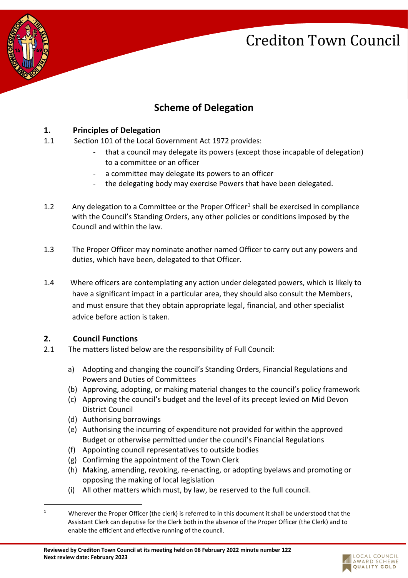

### **Scheme of Delegation**

#### **1. Principles of Delegation**

- 1.1 Section 101 of the Local Government Act 1972 provides:
	- that a council may delegate its powers (except those incapable of delegation) to a committee or an officer
	- a committee may delegate its powers to an officer
	- the delegating body may exercise Powers that have been delegated.
- 1.2 Any delegation to a Committee or the Proper Officer<sup>1</sup> shall be exercised in compliance with the Council's Standing Orders, any other policies or conditions imposed by the Council and within the law.
- 1.3 The Proper Officer may nominate another named Officer to carry out any powers and duties, which have been, delegated to that Officer.
- 1.4 Where officers are contemplating any action under delegated powers, which is likely to have a significant impact in a particular area, they should also consult the Members, and must ensure that they obtain appropriate legal, financial, and other specialist advice before action is taken.

### **2. Council Functions**

- 2.1 The matters listed below are the responsibility of Full Council:
	- a) Adopting and changing the council's Standing Orders, Financial Regulations and Powers and Duties of Committees
	- (b) Approving, adopting, or making material changes to the council's policy framework
	- (c) Approving the council's budget and the level of its precept levied on Mid Devon District Council
	- (d) Authorising borrowings
	- (e) Authorising the incurring of expenditure not provided for within the approved Budget or otherwise permitted under the council's Financial Regulations
	- (f) Appointing council representatives to outside bodies
	- (g) Confirming the appointment of the Town Clerk
	- (h) Making, amending, revoking, re-enacting, or adopting byelaws and promoting or opposing the making of local legislation
	- (i) All other matters which must, by law, be reserved to the full council.



<sup>1</sup> Wherever the Proper Officer (the clerk) is referred to in this document it shall be understood that the Assistant Clerk can deputise for the Clerk both in the absence of the Proper Officer (the Clerk) and to enable the efficient and effective running of the council.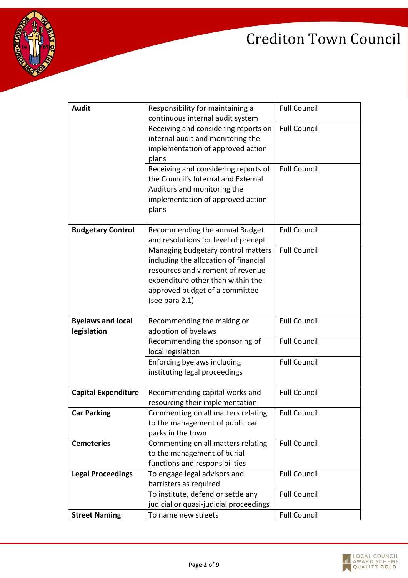



| <b>Audit</b>               | Responsibility for maintaining a       | <b>Full Council</b> |
|----------------------------|----------------------------------------|---------------------|
|                            | continuous internal audit system       |                     |
|                            | Receiving and considering reports on   | <b>Full Council</b> |
|                            | internal audit and monitoring the      |                     |
|                            | implementation of approved action      |                     |
|                            | plans                                  |                     |
|                            | Receiving and considering reports of   | <b>Full Council</b> |
|                            | the Council's Internal and External    |                     |
|                            | Auditors and monitoring the            |                     |
|                            | implementation of approved action      |                     |
|                            | plans                                  |                     |
|                            |                                        |                     |
| <b>Budgetary Control</b>   | Recommending the annual Budget         | <b>Full Council</b> |
|                            | and resolutions for level of precept   |                     |
|                            | Managing budgetary control matters     | <b>Full Council</b> |
|                            | including the allocation of financial  |                     |
|                            | resources and virement of revenue      |                     |
|                            | expenditure other than within the      |                     |
|                            | approved budget of a committee         |                     |
|                            | (see para 2.1)                         |                     |
| <b>Byelaws and local</b>   | Recommending the making or             | <b>Full Council</b> |
| legislation                | adoption of byelaws                    |                     |
|                            | Recommending the sponsoring of         | <b>Full Council</b> |
|                            | local legislation                      |                     |
|                            | Enforcing byelaws including            | <b>Full Council</b> |
|                            | instituting legal proceedings          |                     |
|                            |                                        |                     |
| <b>Capital Expenditure</b> | Recommending capital works and         | <b>Full Council</b> |
|                            | resourcing their implementation        |                     |
| <b>Car Parking</b>         | Commenting on all matters relating     | <b>Full Council</b> |
|                            | to the management of public car        |                     |
|                            | parks in the town                      |                     |
| <b>Cemeteries</b>          | Commenting on all matters relating     | <b>Full Council</b> |
|                            | to the management of burial            |                     |
|                            | functions and responsibilities         |                     |
| <b>Legal Proceedings</b>   | To engage legal advisors and           | <b>Full Council</b> |
|                            | barristers as required                 |                     |
|                            | To institute, defend or settle any     | <b>Full Council</b> |
|                            | judicial or quasi-judicial proceedings |                     |
| <b>Street Naming</b>       | To name new streets                    | <b>Full Council</b> |

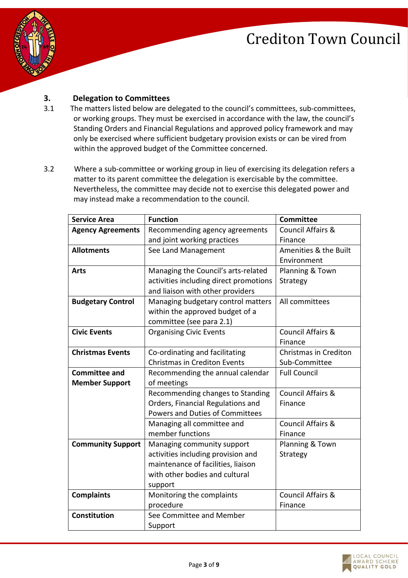

#### **3. Delegation to Committees**

- 3.1 The matters listed below are delegated to the council's committees, sub-committees, or working groups. They must be exercised in accordance with the law, the council's Standing Orders and Financial Regulations and approved policy framework and may only be exercised where sufficient budgetary provision exists or can be vired from within the approved budget of the Committee concerned.
- 3.2 Where a sub-committee or working group in lieu of exercising its delegation refers a matter to its parent committee the delegation is exercisable by the committee. Nevertheless, the committee may decide not to exercise this delegated power and may instead make a recommendation to the council.

| <b>Service Area</b>      | <b>Function</b>                        | <b>Committee</b>             |
|--------------------------|----------------------------------------|------------------------------|
| <b>Agency Agreements</b> | Recommending agency agreements         | <b>Council Affairs &amp;</b> |
|                          | and joint working practices            | Finance                      |
| <b>Allotments</b>        | See Land Management                    | Amenities & the Built        |
|                          |                                        | Environment                  |
| <b>Arts</b>              | Managing the Council's arts-related    | Planning & Town              |
|                          | activities including direct promotions | Strategy                     |
|                          | and liaison with other providers       |                              |
| <b>Budgetary Control</b> | Managing budgetary control matters     | All committees               |
|                          | within the approved budget of a        |                              |
|                          | committee (see para 2.1)               |                              |
| <b>Civic Events</b>      | <b>Organising Civic Events</b>         | <b>Council Affairs &amp;</b> |
|                          |                                        | Finance                      |
| <b>Christmas Events</b>  | Co-ordinating and facilitating         | Christmas in Crediton        |
|                          | <b>Christmas in Crediton Events</b>    | Sub-Committee                |
| <b>Committee and</b>     | Recommending the annual calendar       | <b>Full Council</b>          |
| <b>Member Support</b>    | of meetings                            |                              |
|                          | Recommending changes to Standing       | <b>Council Affairs &amp;</b> |
|                          | Orders, Financial Regulations and      | Finance                      |
|                          | Powers and Duties of Committees        |                              |
|                          | Managing all committee and             | <b>Council Affairs &amp;</b> |
|                          | member functions                       | Finance                      |
| <b>Community Support</b> | Managing community support             | Planning & Town              |
|                          | activities including provision and     | Strategy                     |
|                          | maintenance of facilities, liaison     |                              |
|                          | with other bodies and cultural         |                              |
|                          | support                                |                              |
| <b>Complaints</b>        | Monitoring the complaints              | <b>Council Affairs &amp;</b> |
|                          | procedure                              | Finance                      |
| Constitution             | See Committee and Member               |                              |
|                          | Support                                |                              |

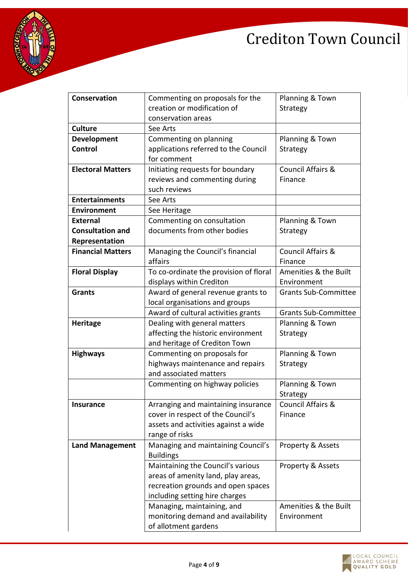

| <b>Conservation</b>      | Commenting on proposals for the        | Planning & Town              |
|--------------------------|----------------------------------------|------------------------------|
|                          | creation or modification of            | Strategy                     |
|                          | conservation areas                     |                              |
| <b>Culture</b>           | See Arts                               |                              |
| <b>Development</b>       | Commenting on planning                 | Planning & Town              |
| Control                  | applications referred to the Council   | Strategy                     |
|                          | for comment                            |                              |
| <b>Electoral Matters</b> | Initiating requests for boundary       | <b>Council Affairs &amp;</b> |
|                          | reviews and commenting during          | Finance                      |
|                          | such reviews                           |                              |
| <b>Entertainments</b>    | See Arts                               |                              |
| <b>Environment</b>       | See Heritage                           |                              |
| <b>External</b>          | Commenting on consultation             | Planning & Town              |
| <b>Consultation and</b>  | documents from other bodies            | Strategy                     |
| Representation           |                                        |                              |
| <b>Financial Matters</b> | Managing the Council's financial       | <b>Council Affairs &amp;</b> |
|                          | affairs                                | Finance                      |
| <b>Floral Display</b>    | To co-ordinate the provision of floral | Amenities & the Built        |
|                          | displays within Crediton               | Environment                  |
| <b>Grants</b>            | Award of general revenue grants to     | <b>Grants Sub-Committee</b>  |
|                          | local organisations and groups         |                              |
|                          | Award of cultural activities grants    | <b>Grants Sub-Committee</b>  |
| <b>Heritage</b>          | Dealing with general matters           | Planning & Town              |
|                          | affecting the historic environment     | Strategy                     |
|                          | and heritage of Crediton Town          |                              |
| <b>Highways</b>          | Commenting on proposals for            | Planning & Town              |
|                          | highways maintenance and repairs       | Strategy                     |
|                          | and associated matters                 |                              |
|                          | Commenting on highway policies         | Planning & Town              |
|                          |                                        | Strategy                     |
| <b>Insurance</b>         | Arranging and maintaining insurance    | <b>Council Affairs &amp;</b> |
|                          | cover in respect of the Council's      | Finance                      |
|                          | assets and activities against a wide   |                              |
|                          | range of risks                         |                              |
| <b>Land Management</b>   | Managing and maintaining Council's     | Property & Assets            |
|                          | <b>Buildings</b>                       |                              |
|                          | Maintaining the Council's various      | Property & Assets            |
|                          | areas of amenity land, play areas,     |                              |
|                          | recreation grounds and open spaces     |                              |
|                          | including setting hire charges         |                              |
|                          | Managing, maintaining, and             | Amenities & the Built        |
|                          | monitoring demand and availability     | Environment                  |
|                          | of allotment gardens                   |                              |

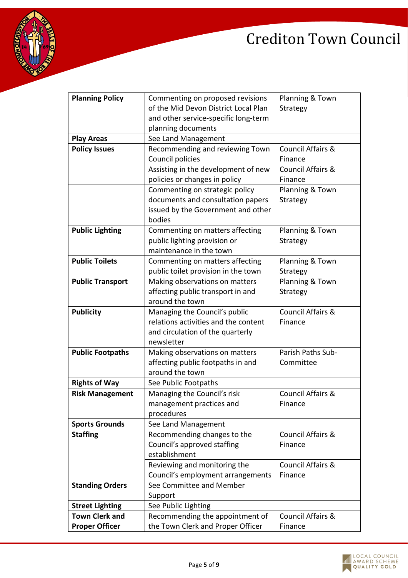

| <b>Planning Policy</b>  | Commenting on proposed revisions     | Planning & Town              |
|-------------------------|--------------------------------------|------------------------------|
|                         | of the Mid Devon District Local Plan | Strategy                     |
|                         | and other service-specific long-term |                              |
|                         | planning documents                   |                              |
| <b>Play Areas</b>       | See Land Management                  |                              |
| <b>Policy Issues</b>    | Recommending and reviewing Town      | <b>Council Affairs &amp;</b> |
|                         | Council policies                     | Finance                      |
|                         | Assisting in the development of new  | <b>Council Affairs &amp;</b> |
|                         | policies or changes in policy        | Finance                      |
|                         | Commenting on strategic policy       | Planning & Town              |
|                         | documents and consultation papers    | Strategy                     |
|                         | issued by the Government and other   |                              |
|                         | bodies                               |                              |
| <b>Public Lighting</b>  | Commenting on matters affecting      | Planning & Town              |
|                         | public lighting provision or         | Strategy                     |
|                         | maintenance in the town              |                              |
| <b>Public Toilets</b>   | Commenting on matters affecting      | Planning & Town              |
|                         | public toilet provision in the town  | Strategy                     |
| <b>Public Transport</b> | Making observations on matters       | Planning & Town              |
|                         | affecting public transport in and    | Strategy                     |
|                         | around the town                      |                              |
| <b>Publicity</b>        | Managing the Council's public        | <b>Council Affairs &amp;</b> |
|                         | relations activities and the content | Finance                      |
|                         | and circulation of the quarterly     |                              |
|                         | newsletter                           |                              |
| <b>Public Footpaths</b> | Making observations on matters       | Parish Paths Sub-            |
|                         | affecting public footpaths in and    | Committee                    |
|                         | around the town                      |                              |
| <b>Rights of Way</b>    | See Public Footpaths                 |                              |
| <b>Risk Management</b>  | Managing the Council's risk          | <b>Council Affairs &amp;</b> |
|                         | management practices and             | Finance                      |
|                         | procedures                           |                              |
| <b>Sports Grounds</b>   | See Land Management                  |                              |
| <b>Staffing</b>         | Recommending changes to the          | <b>Council Affairs &amp;</b> |
|                         | Council's approved staffing          | Finance                      |
|                         | establishment                        |                              |
|                         | Reviewing and monitoring the         | <b>Council Affairs &amp;</b> |
|                         | Council's employment arrangements    | Finance                      |
| <b>Standing Orders</b>  | See Committee and Member             |                              |
|                         | Support                              |                              |
| <b>Street Lighting</b>  | See Public Lighting                  |                              |
| <b>Town Clerk and</b>   | Recommending the appointment of      | <b>Council Affairs &amp;</b> |
| <b>Proper Officer</b>   | the Town Clerk and Proper Officer    | Finance                      |

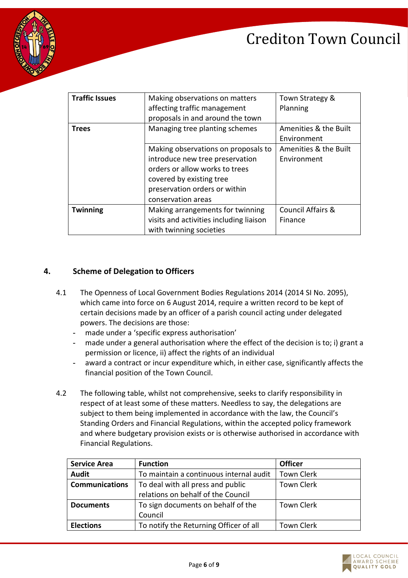



| <b>Traffic Issues</b> | Making observations on matters          | Town Strategy &              |
|-----------------------|-----------------------------------------|------------------------------|
|                       | affecting traffic management            | Planning                     |
|                       | proposals in and around the town        |                              |
| Trees                 | Managing tree planting schemes          | Amenities & the Built        |
|                       |                                         | Environment                  |
|                       | Making observations on proposals to     | Amenities & the Built        |
|                       | introduce new tree preservation         | Environment                  |
|                       | orders or allow works to trees          |                              |
|                       | covered by existing tree                |                              |
|                       | preservation orders or within           |                              |
|                       | conservation areas                      |                              |
| <b>Twinning</b>       | Making arrangements for twinning        | <b>Council Affairs &amp;</b> |
|                       | visits and activities including liaison | Finance                      |
|                       | with twinning societies                 |                              |

#### **4. Scheme of Delegation to Officers**

- 4.1 The Openness of Local Government Bodies Regulations 2014 (2014 SI No. 2095), which came into force on 6 August 2014, require a written record to be kept of certain decisions made by an officer of a parish council acting under delegated powers. The decisions are those:
	- made under a 'specific express authorisation'
	- made under a general authorisation where the effect of the decision is to; i) grant a permission or licence, ii) affect the rights of an individual
	- award a contract or incur expenditure which, in either case, significantly affects the financial position of the Town Council.
- 4.2 The following table, whilst not comprehensive, seeks to clarify responsibility in respect of at least some of these matters. Needless to say, the delegations are subject to them being implemented in accordance with the law, the Council's Standing Orders and Financial Regulations, within the accepted policy framework and where budgetary provision exists or is otherwise authorised in accordance with Financial Regulations.

| <b>Service Area</b>   | <b>Function</b>                         | <b>Officer</b>    |
|-----------------------|-----------------------------------------|-------------------|
| <b>Audit</b>          | To maintain a continuous internal audit | <b>Town Clerk</b> |
| <b>Communications</b> | To deal with all press and public       | <b>Town Clerk</b> |
|                       | relations on behalf of the Council      |                   |
| <b>Documents</b>      | To sign documents on behalf of the      | <b>Town Clerk</b> |
|                       | Council                                 |                   |
| <b>Elections</b>      | To notify the Returning Officer of all  | <b>Town Clerk</b> |

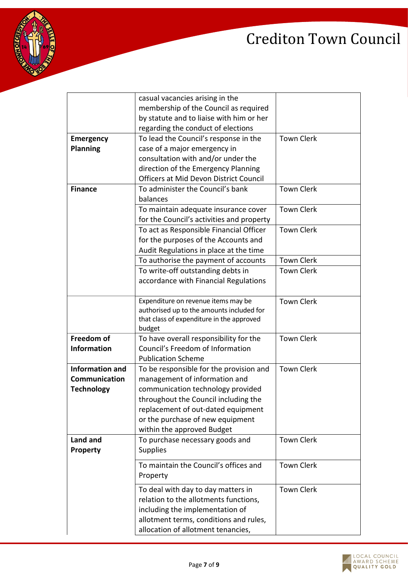

|                        | casual vacancies arising in the           |                   |
|------------------------|-------------------------------------------|-------------------|
|                        | membership of the Council as required     |                   |
|                        | by statute and to liaise with him or her  |                   |
|                        | regarding the conduct of elections        |                   |
| <b>Emergency</b>       | To lead the Council's response in the     | <b>Town Clerk</b> |
| <b>Planning</b>        | case of a major emergency in              |                   |
|                        | consultation with and/or under the        |                   |
|                        | direction of the Emergency Planning       |                   |
|                        | Officers at Mid Devon District Council    |                   |
| <b>Finance</b>         | To administer the Council's bank          | <b>Town Clerk</b> |
|                        | balances                                  |                   |
|                        | To maintain adequate insurance cover      | <b>Town Clerk</b> |
|                        | for the Council's activities and property |                   |
|                        | To act as Responsible Financial Officer   | <b>Town Clerk</b> |
|                        | for the purposes of the Accounts and      |                   |
|                        | Audit Regulations in place at the time    |                   |
|                        | To authorise the payment of accounts      | <b>Town Clerk</b> |
|                        | To write-off outstanding debts in         | <b>Town Clerk</b> |
|                        | accordance with Financial Regulations     |                   |
|                        |                                           |                   |
|                        | Expenditure on revenue items may be       | <b>Town Clerk</b> |
|                        | authorised up to the amounts included for |                   |
|                        | that class of expenditure in the approved |                   |
|                        | budget                                    |                   |
| Freedom of             | To have overall responsibility for the    | <b>Town Clerk</b> |
| <b>Information</b>     | Council's Freedom of Information          |                   |
|                        | <b>Publication Scheme</b>                 |                   |
| <b>Information and</b> | To be responsible for the provision and   | <b>Town Clerk</b> |
| Communication          | management of information and             |                   |
| <b>Technology</b>      | communication technology provided         |                   |
|                        | throughout the Council including the      |                   |
|                        | replacement of out-dated equipment        |                   |
|                        | or the purchase of new equipment          |                   |
|                        | within the approved Budget                |                   |
| Land and               | To purchase necessary goods and           | <b>Town Clerk</b> |
| <b>Property</b>        | <b>Supplies</b>                           |                   |
|                        | To maintain the Council's offices and     | <b>Town Clerk</b> |
|                        | Property                                  |                   |
|                        | To deal with day to day matters in        | <b>Town Clerk</b> |
|                        | relation to the allotments functions,     |                   |
|                        | including the implementation of           |                   |
|                        | allotment terms, conditions and rules,    |                   |
|                        |                                           |                   |
|                        | allocation of allotment tenancies,        |                   |

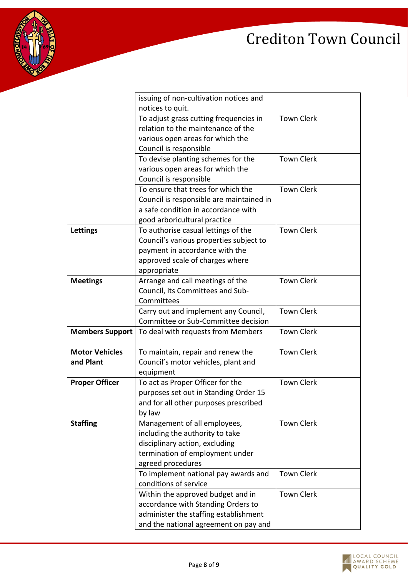

|                        | issuing of non-cultivation notices and   |                   |
|------------------------|------------------------------------------|-------------------|
|                        | notices to quit.                         |                   |
|                        | To adjust grass cutting frequencies in   | <b>Town Clerk</b> |
|                        | relation to the maintenance of the       |                   |
|                        | various open areas for which the         |                   |
|                        | Council is responsible                   |                   |
|                        | To devise planting schemes for the       | <b>Town Clerk</b> |
|                        | various open areas for which the         |                   |
|                        | Council is responsible                   |                   |
|                        | To ensure that trees for which the       | <b>Town Clerk</b> |
|                        | Council is responsible are maintained in |                   |
|                        | a safe condition in accordance with      |                   |
|                        | good arboricultural practice             |                   |
| Lettings               | To authorise casual lettings of the      | <b>Town Clerk</b> |
|                        | Council's various properties subject to  |                   |
|                        | payment in accordance with the           |                   |
|                        | approved scale of charges where          |                   |
|                        | appropriate                              |                   |
| <b>Meetings</b>        | Arrange and call meetings of the         | <b>Town Clerk</b> |
|                        | Council, its Committees and Sub-         |                   |
|                        | Committees                               |                   |
|                        | Carry out and implement any Council,     | <b>Town Clerk</b> |
|                        | Committee or Sub-Committee decision      |                   |
| <b>Members Support</b> | To deal with requests from Members       | <b>Town Clerk</b> |
|                        |                                          |                   |
| <b>Motor Vehicles</b>  | To maintain, repair and renew the        | <b>Town Clerk</b> |
| and Plant              | Council's motor vehicles, plant and      |                   |
|                        | equipment                                |                   |
| <b>Proper Officer</b>  | To act as Proper Officer for the         | <b>Town Clerk</b> |
|                        | purposes set out in Standing Order 15    |                   |
|                        | and for all other purposes prescribed    |                   |
|                        | by law                                   |                   |
| <b>Staffing</b>        | Management of all employees,             | <b>Town Clerk</b> |
|                        | including the authority to take          |                   |
|                        | disciplinary action, excluding           |                   |
|                        | termination of employment under          |                   |
|                        | agreed procedures                        |                   |
|                        | To implement national pay awards and     | <b>Town Clerk</b> |
|                        | conditions of service                    |                   |
|                        | Within the approved budget and in        | <b>Town Clerk</b> |
|                        | accordance with Standing Orders to       |                   |
|                        | administer the staffing establishment    |                   |
|                        | and the national agreement on pay and    |                   |
|                        |                                          |                   |